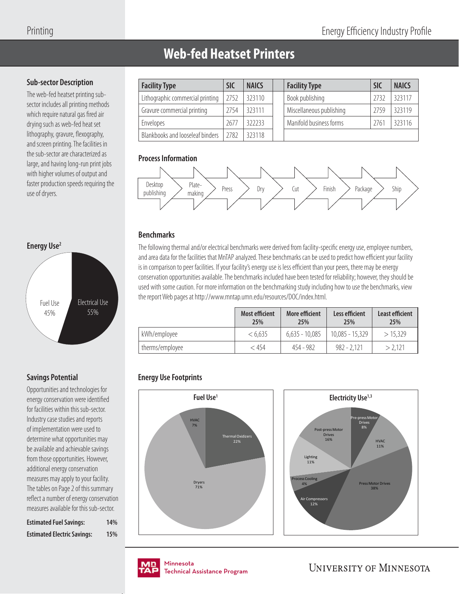# **Web-fed Heatset Printers**

## **Sub-sector Description**

The web-fed heatset printing subsector includes all printing methods which require natural gas fired air drying such as web-fed heat set lithography, gravure, flexography, and screen printing. The facilities in the sub-sector are characterized as large, and having long-run print jobs with higher volumes of output and faster production speeds requiring the use of dryers.



## **Savings Potential**

Opportunities and technologies for energy conservation were identified for facilities within this sub-sector. Industry case studies and reports of implementation were used to determine what opportunities may be available and achievable savings from those opportunities. However, additional energy conservation measures may apply to your facility. The tables on Page 2 of this summary reflect a number of energy conservation measures available for this sub-sector.

| <b>Estimated Fuel Savings:</b>     | 14% |
|------------------------------------|-----|
| <b>Estimated Electric Savings:</b> | 15% |

| <b>Facility Type</b>             | SIC  | <b>NAICS</b> | <b>Facility Type</b>     | <b>SIC</b> | <b>NAICS</b> |
|----------------------------------|------|--------------|--------------------------|------------|--------------|
| Lithographic commercial printing | 2752 | 323110       | Book publishing          | 2732       | 323117       |
| Gravure commercial printing      | 2754 | 323111       | Miscellaneous publishing | 2759       | 323119       |
| Envelopes                        | 2677 | 322233       | Manifold business forms  | 2761       | 323116       |
| Blankbooks and looseleaf binders | 2782 | 323118       |                          |            |              |

### **Process Information**



## **Benchmarks**

The following thermal and/or electrical benchmarks were derived from facility-specific energy use, employee numbers, and area data for the facilities that MnTAP analyzed. These benchmarks can be used to predict how efficient your facility is in comparison to peer facilities. If your facility's energy use is less efficient than your peers, there may be energy conservation opportunities available. The benchmarks included have been tested for reliability; however, they should be used with some caution. For more information on the benchmarking study including how to use the benchmarks, view the report Web pages at http://www.mntap.umn.edu/resources/DOC/index.html.

|                 | <b>Most efficient</b><br>25% | More efficient<br>25% | Less efficient<br>25% | <b>Least efficient</b><br>25% |
|-----------------|------------------------------|-----------------------|-----------------------|-------------------------------|
| kWh/employee    | < 6.635                      | $6,635 - 10,085$      | $10,085 - 15,329$     | > 15.329                      |
| therms/employee | < 454                        | 454 - 982             | $982 - 2.121$         | > 2.121                       |

## **Energy Use Footprints**







nmesota<br>:chnical Assis Technical Assistance Program .<br>Tochnical / Technical Assistance Program

**UNIVERSITY OF MINNESOTA**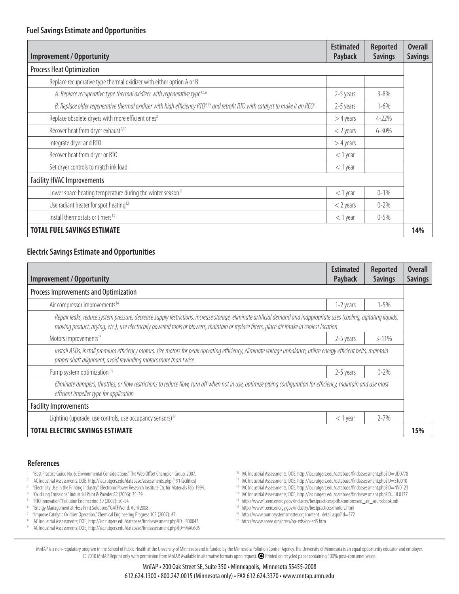### **Fuel Savings Estimate and Opportunities**

| <b>Improvement / Opportunity</b>                                                                                                                       | <b>Estimated</b><br>Payback | <b>Reported</b><br><b>Savings</b> | <b>Overall</b><br><b>Savings</b> |
|--------------------------------------------------------------------------------------------------------------------------------------------------------|-----------------------------|-----------------------------------|----------------------------------|
| <b>Process Heat Optimization</b>                                                                                                                       |                             |                                   |                                  |
| Replace recuperative type thermal oxidizer with either option A or B                                                                                   |                             |                                   |                                  |
| A: Replace recuperative type thermal oxidizer with regenerative type <sup>4,5,6</sup>                                                                  | 2-5 years                   | $3 - 8\%$                         |                                  |
| B: Replace older regenerative thermal oxidizer with high efficiency RTO <sup>4,5,6</sup> and retrofit RTO with catalyst to make it an RCO <sup>7</sup> | 2-5 years                   | $1 - 6\%$                         |                                  |
| Replace obsolete dryers with more efficient ones <sup>8</sup>                                                                                          | $>4$ years                  | 4-22%                             |                                  |
| Recover heat from dryer exhaust <sup>9,10</sup>                                                                                                        | $<$ 2 years                 | $6 - 30%$                         |                                  |
| Integrate dryer and RTO                                                                                                                                | $>4$ years                  |                                   |                                  |
| Recover heat from dryer or RTO                                                                                                                         | $<$ 1 year                  |                                   |                                  |
| Set dryer controls to match ink load                                                                                                                   | $<$ 1 year                  |                                   |                                  |
| <b>Facility HVAC Improvements</b>                                                                                                                      |                             |                                   |                                  |
| Lower space heating temperature during the winter season $11$                                                                                          | $<$ 1 year                  | $0 - 1\%$                         |                                  |
| Use radiant heater for spot heating <sup>12</sup>                                                                                                      | $<$ 2 years                 | $0 - 2\%$                         |                                  |
| Install thermostats or timers <sup>13</sup>                                                                                                            | $<$ 1 year                  | $0 - 5\%$                         |                                  |
| <b>TOTAL FUEL SAVINGS ESTIMATE</b>                                                                                                                     |                             |                                   | 14%                              |

### **Electric Savings Estimate and Opportunities**

| Improvement / Opportunity                                                                                                                                                                                                                                                                                            | <b>Estimated</b><br>Payback | <b>Reported</b><br><b>Savings</b> | <b>Overall</b><br><b>Savings</b> |
|----------------------------------------------------------------------------------------------------------------------------------------------------------------------------------------------------------------------------------------------------------------------------------------------------------------------|-----------------------------|-----------------------------------|----------------------------------|
| Process Improvements and Optimization                                                                                                                                                                                                                                                                                |                             |                                   |                                  |
| Air compressor improvements <sup>14</sup>                                                                                                                                                                                                                                                                            | 1-2 years                   | $1 - 5%$                          |                                  |
| Repair leaks, reduce system pressure, decrease supply restrictions, increase storage, eliminate artificial demand and inappropriate uses (cooling, agitating liquids,<br>moving product, drying, etc.), use electrically powered tools or blowers, maintain or replace filters, place air intake in coolest location |                             |                                   |                                  |
| Motors improvements <sup>15</sup>                                                                                                                                                                                                                                                                                    | 2-5 years                   | $3 - 11%$                         |                                  |
| Install ASDs, install premium efficiency motors, size motors for peak operating efficiency, eliminate voltage unbalance, utilize energy efficient belts, maintain<br>proper shaft alignment, avoid rewinding motors more than twice                                                                                  |                             |                                   |                                  |
| Pump system optimization 16                                                                                                                                                                                                                                                                                          | 2-5 years                   | $0 - 2%$                          |                                  |
| Eliminate dampers, throttles, or flow restrictions to reduce flow, turn off when not in use, optimize piping configuration for efficiency, maintain and use most<br>efficient impeller type for application                                                                                                          |                             |                                   |                                  |
| <b>Facility Improvements</b>                                                                                                                                                                                                                                                                                         |                             |                                   |                                  |
| Lighting (upgrade, use controls, use occupancy sensors) <sup>17</sup>                                                                                                                                                                                                                                                | $<$ 1 year                  | $2 - 7%$                          |                                  |
| <b>TOTAL ELECTRIC SAVINGS ESTIMATE</b>                                                                                                                                                                                                                                                                               |                             |                                   | 15%                              |

#### **References**

- <sup>1</sup> "Best Practice Guide No. 6: Environmental Considerations". The Web Offset Champion Group. 2007.
- <sup>2</sup> IAC Industrial Assessments. DOE. http://iac.rutgers.edu/database/assessments.php (191 facilities)
- "Electricity Use in the Printing Industry". Electronic Power Research Institute Ctr. for Materials Fab. 1994.
- 4 "Oxidizing Emissions." Industrial Paint & Powder 82 (2006): 35-39.
- <sup>5</sup> "RTO Innovation." Pollution Engineering 39 (2007): 50-54.
- 6 "Energy Management at Hess Print Solutions." GATFWorld. April 2008.
- <sup>7</sup> "Improve Catalytic Oxidizer Operation." Chemical Engineering Progress 103 (2007): 47.
- <sup>8</sup> IAC Industrial Assessments; DOE, http://iac.rutgers.edu/database/findassessment.php?ID=SD0043 <sup>9</sup> IAC Industrial Assessments; DOE, http://iac.rutgers.edu/database/findassessment.php?ID=MA0605
- <sup>10</sup> IAC Industrial Assessments; DOE, http://iac.rutgers.edu/database/findassessment.php?ID=UD0778
- <sup>11</sup> IAC Industrial Assessments; DOE, http://iac.rutgers.edu/database/findassessment.php?ID=ST0010 <sup>12</sup> IAC Industrial Assessments; DOE, http://iac.rutgers.edu/database/findassessment.php?ID=NV0123
- <sup>13</sup> IAC Industrial Assessments; DOE, http://iac.rutgers.edu/database/findassessment.php?ID=UL0177
- <sup>14</sup> http://www1.eere.energy.gov/industry/bestpractices/pdfs/compressed\_air\_sourcebook.pdf
- 15 http://www1.eere.energy.gov/industry/bestpractices/motors.html
- 16 http://www.pumpsystemsmatter.org/content\_detail.aspx?id=372
- 17 http://www.aceee.org/press/op-eds/op-ed5.htm

MnTAP is a non-regulatory program in the School of Public Health at the University of Minnesota and is funded by the Minnesota Pollution Control Agency. The University of Minnesota is an equal opportunity educator and empl © 2010 MnTAP. Reprint only with permission from MnTAP. Available in alternative formats upon request. Printed on recycled paper containing 100% post-consumer waste.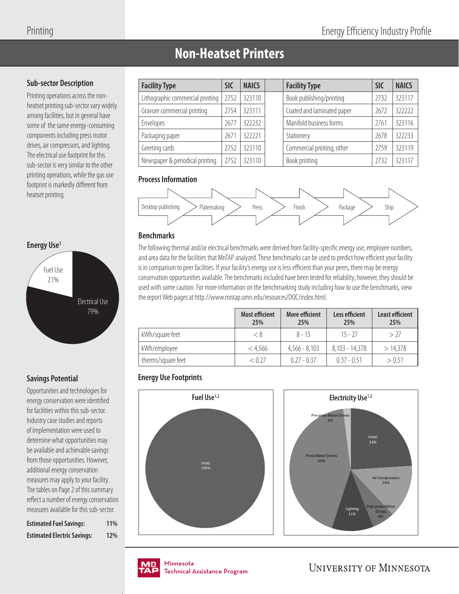# **Non-Heatset Printers**

### **Sub-sector Description**

Printing operations across the nonheatset printing sub-sector vary widely among facilities, but in general have some of the same energy-consuming components including press motor drives, air compressors, and lighting. The electrical use footprint for this sub-sector is very similar to the other printing operations, while the gas use footprint is markedly different from heatset printing.



## **Savings Potential**

Opportunities and technologies for energy conservation were identified for facilities within this sub-sector. Industry case studies and reports of implementation were used to determine what opportunities may be available and achievable savings from those opportunities. However, additional energy conservation measures may apply to your facility. The tables on Page 2 of this summary reflect a number of energy conservation measures available for this sub-sector.

| <b>Estimated Fuel Savings:</b>     | <b>11%</b> |
|------------------------------------|------------|
| <b>Estimated Electric Savings:</b> | <b>12%</b> |

| <b>Facility Type</b>             | <b>SIC</b> | <b>NAICS</b> | <b>Facility Type</b>       | <b>SIC</b> | <b>NAICS</b> |
|----------------------------------|------------|--------------|----------------------------|------------|--------------|
| Lithographic commercial printing | 2752       | 323110       | Book publishing/printing   | 2732       | 323117       |
| Gravure commercial printing      | 2754       | 323111       | Coated and laminated paper | 2672       | 322222       |
| Envelopes                        | 2677       | 322232       | Manifold business forms    | 2761       | 323116       |
| Packaging paper                  | 2671       | 322221       | Stationery                 | 2678       | 322233       |
| Greeting cards                   | 2752       | 323110       | Commercial printing, other | 2759       | 323119       |
| Newspaper & periodical printing  | 2752       | 323110       | Book printing              | 2732       | 323117       |

## **Process Information**



## **Benchmarks**

The following thermal and/or electrical benchmarks were derived from facility-specific energy use, employee numbers, and area data for the facilities that MnTAP analyzed. These benchmarks can be used to predict how efficient your facility is in comparison to peer facilities. If your facility's energy use is less efficient than your peers, there may be energy conservation opportunities available. The benchmarks included have been tested for reliability; however, they should be used with some caution. For more information on the benchmarking study including how to use the benchmarks, view the report Web pages at http://www.mntap.umn.edu/resources/DOC/index.html.

|                    | <b>Most efficient</b><br>25% | More efficient<br>25% | Less efficient<br>25% | <b>Least efficient</b><br>25% |
|--------------------|------------------------------|-----------------------|-----------------------|-------------------------------|
| kWh/square feet    | < 8                          | $8 - 15$              | $15 - 27$             | > 27                          |
| kWh/employee       | < 4.566                      | $4,566 - 8,103$       | $8,103 - 14,378$      | >14.378                       |
| therms/square feet | < 0.27                       | $0.27 - 0.37$         | $0.37 - 0.51$         | > 0.51                        |

## **Energy Use Footprints**







**UNIVERSITY OF MINNESOTA**